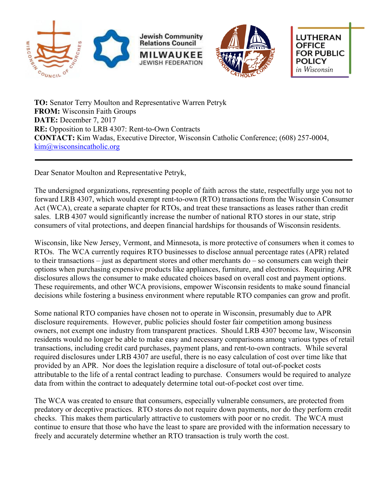





**LUTHERAN OFFICE FOR PUBLIC POLICY** in Wisconsin

**TO:** Senator Terry Moulton and Representative Warren Petryk **FROM:** Wisconsin Faith Groups **DATE:** December 7, 2017 **RE:** Opposition to LRB 4307: Rent-to-Own Contracts **CONTACT:** Kim Wadas, Executive Director, Wisconsin Catholic Conference; (608) 257-0004, kim@wisconsincatholic.org

Dear Senator Moulton and Representative Petryk,

The undersigned organizations, representing people of faith across the state, respectfully urge you not to forward LRB 4307, which would exempt rent-to-own (RTO) transactions from the Wisconsin Consumer Act (WCA), create a separate chapter for RTOs, and treat these transactions as leases rather than credit sales. LRB 4307 would significantly increase the number of national RTO stores in our state, strip consumers of vital protections, and deepen financial hardships for thousands of Wisconsin residents.

Wisconsin, like New Jersey, Vermont, and Minnesota, is more protective of consumers when it comes to RTOs. The WCA currently requires RTO businesses to disclose annual percentage rates (APR) related to their transactions – just as department stores and other merchants do – so consumers can weigh their options when purchasing expensive products like appliances, furniture, and electronics. Requiring APR disclosures allows the consumer to make educated choices based on overall cost and payment options. These requirements, and other WCA provisions, empower Wisconsin residents to make sound financial decisions while fostering a business environment where reputable RTO companies can grow and profit.

Some national RTO companies have chosen not to operate in Wisconsin, presumably due to APR disclosure requirements. However, public policies should foster fair competition among business owners, not exempt one industry from transparent practices. Should LRB 4307 become law, Wisconsin residents would no longer be able to make easy and necessary comparisons among various types of retail transactions, including credit card purchases, payment plans, and rent-to-own contracts. While several required disclosures under LRB 4307 are useful, there is no easy calculation of cost over time like that provided by an APR. Nor does the legislation require a disclosure of total out-of-pocket costs attributable to the life of a rental contract leading to purchase. Consumers would be required to analyze data from within the contract to adequately determine total out-of-pocket cost over time.

The WCA was created to ensure that consumers, especially vulnerable consumers, are protected from predatory or deceptive practices. RTO stores do not require down payments, nor do they perform credit checks. This makes them particularly attractive to customers with poor or no credit. The WCA must continue to ensure that those who have the least to spare are provided with the information necessary to freely and accurately determine whether an RTO transaction is truly worth the cost.